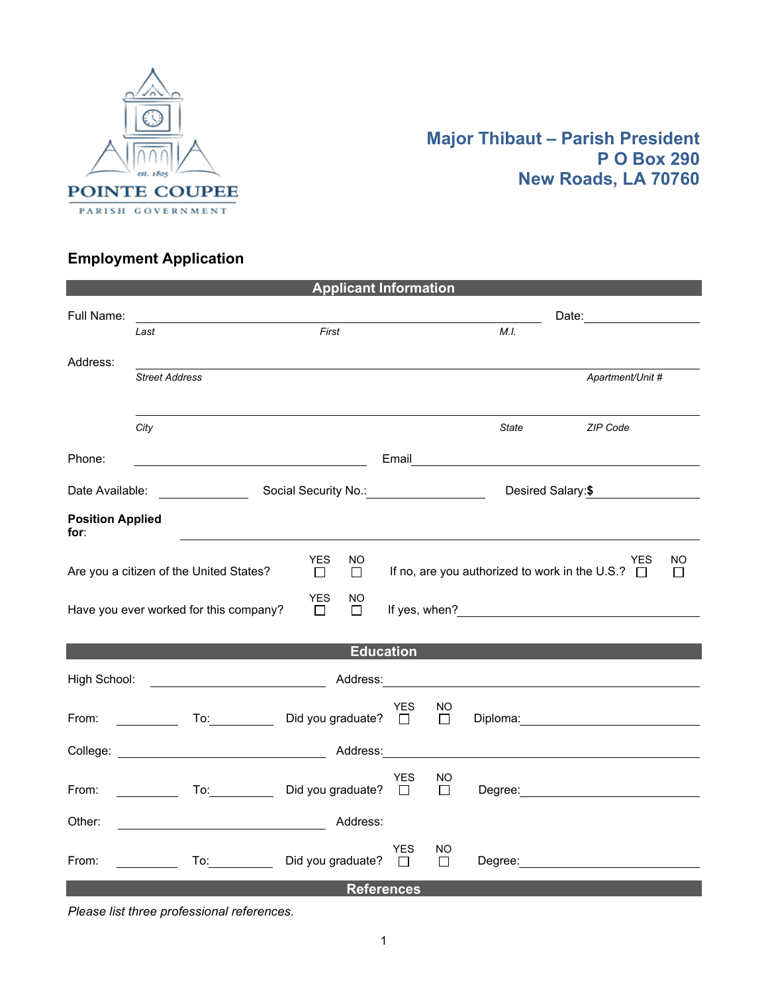

## **Major Thibaut – Parish President P O Box 290 New Roads, LA 70760**

## **Employment Application**

| <b>Applicant Information</b>                                                                                                                                      |                                                                                         |                                                                                                                       |            |               |              |                                                                                                                 |  |
|-------------------------------------------------------------------------------------------------------------------------------------------------------------------|-----------------------------------------------------------------------------------------|-----------------------------------------------------------------------------------------------------------------------|------------|---------------|--------------|-----------------------------------------------------------------------------------------------------------------|--|
| Full Name:                                                                                                                                                        | Last                                                                                    | First                                                                                                                 |            |               | M.I.         |                                                                                                                 |  |
| Address:                                                                                                                                                          | <b>Street Address</b>                                                                   |                                                                                                                       |            |               |              | Apartment/Unit #                                                                                                |  |
|                                                                                                                                                                   |                                                                                         |                                                                                                                       |            |               |              |                                                                                                                 |  |
|                                                                                                                                                                   | City                                                                                    |                                                                                                                       |            |               | <b>State</b> | ZIP Code                                                                                                        |  |
| Phone:                                                                                                                                                            |                                                                                         | <u> 1980 - Johann Barbara, martin amerikan basar dan basar dan basar dalam basar dalam basar dalam basar dalam ba</u> |            |               |              | Email and the contract of the contract of the contract of the contract of the contract of the contract of the   |  |
| Social Security No.: <u>Communication</u><br>Desired Salary: \$<br>Date Available: <u>New York Base Base</u>                                                      |                                                                                         |                                                                                                                       |            |               |              |                                                                                                                 |  |
| <b>Position Applied</b><br>for:                                                                                                                                   |                                                                                         |                                                                                                                       |            |               |              |                                                                                                                 |  |
| <b>YES</b><br>NO.<br>YES.<br>NO<br>If no, are you authorized to work in the U.S.? $\Box$<br>Are you a citizen of the United States?<br>$\Box$<br>$\Box$<br>$\Box$ |                                                                                         |                                                                                                                       |            |               |              |                                                                                                                 |  |
| <b>YES</b><br>NO.<br>Have you ever worked for this company?<br>$\Box$<br>$\Box$                                                                                   |                                                                                         |                                                                                                                       |            |               |              |                                                                                                                 |  |
|                                                                                                                                                                   |                                                                                         |                                                                                                                       |            |               |              |                                                                                                                 |  |
| <b>Education Education</b><br>High School: <u>www.community.community.community.community.community.community.community.community.com</u>                         |                                                                                         |                                                                                                                       |            |               |              |                                                                                                                 |  |
| From:                                                                                                                                                             | To:_____________                                                                        | Did you graduate? $\Box$                                                                                              | <b>YES</b> | NO.<br>$\Box$ |              | Diploma: 2000 2000 2010 2020 2030 2040 2050 2060 2071 2080 2091 2092 2093 2094 2095 2096 2097 2097 2097 2097 20 |  |
|                                                                                                                                                                   |                                                                                         |                                                                                                                       |            |               |              |                                                                                                                 |  |
| From:                                                                                                                                                             | <u> 1990 - Jan Barnett, p</u>                                                           | To: Did you graduate? □                                                                                               | <b>YES</b> | NO<br>$\Box$  |              |                                                                                                                 |  |
| Other:                                                                                                                                                            |                                                                                         | Address:                                                                                                              |            |               |              |                                                                                                                 |  |
| From:                                                                                                                                                             | $\mathcal{L}^{\text{max}}_{\text{max}}$ , where $\mathcal{L}^{\text{max}}_{\text{max}}$ | To: Did you graduate? □                                                                                               | <b>YES</b> | NO<br>П       |              |                                                                                                                 |  |
| <b>References</b>                                                                                                                                                 |                                                                                         |                                                                                                                       |            |               |              |                                                                                                                 |  |

*Please list three professional references.*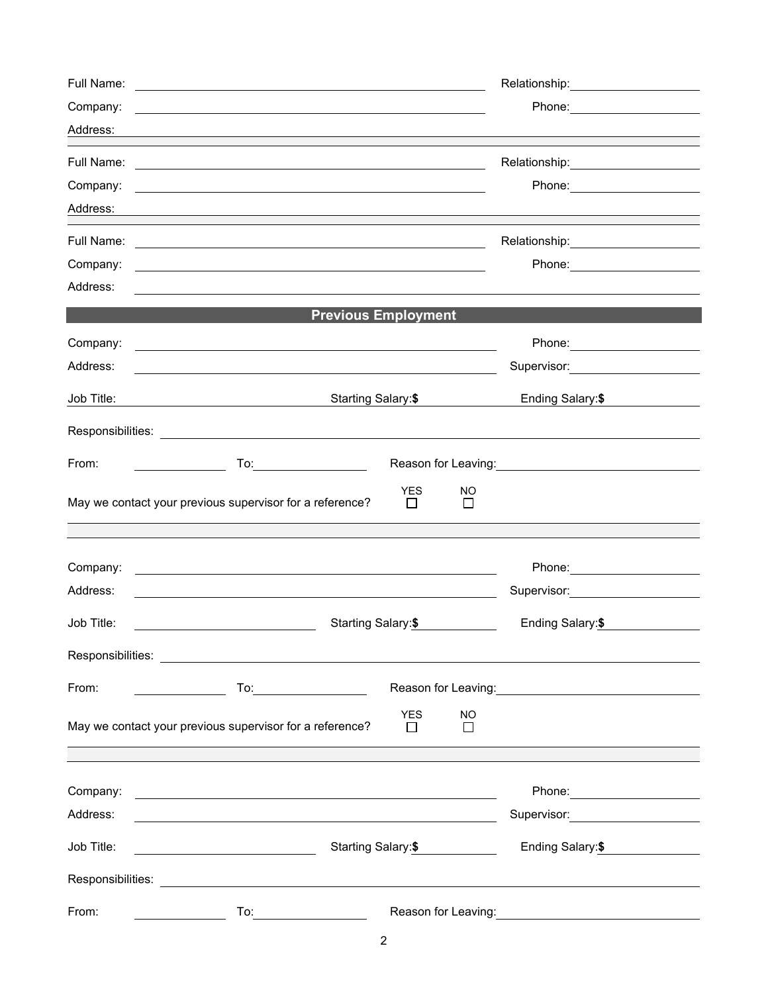| Full Name: |                                                                                                                                                                                                                                |                       |                     | Relationship: 2000                      |  |
|------------|--------------------------------------------------------------------------------------------------------------------------------------------------------------------------------------------------------------------------------|-----------------------|---------------------|-----------------------------------------|--|
| Company:   |                                                                                                                                                                                                                                |                       |                     |                                         |  |
| Address:   |                                                                                                                                                                                                                                |                       |                     |                                         |  |
| Full Name: | <u> 1989 - Johann Barn, amerikan besteman besteman besteman besteman besteman besteman besteman besteman besteman</u>                                                                                                          |                       |                     | Relationship: 2000                      |  |
| Company:   | the control of the control of the control of the control of the control of the control of the control of the control of the control of the control of the control of the control of the control of the control of the control  |                       |                     | Phone: ______________________           |  |
| Address:   | and the control of the control of the control of the control of the control of the control of the control of the                                                                                                               |                       |                     |                                         |  |
| Full Name: |                                                                                                                                                                                                                                |                       |                     | Relationship:_____________________      |  |
| Company:   |                                                                                                                                                                                                                                |                       |                     | Phone: __________________               |  |
| Address:   |                                                                                                                                                                                                                                |                       |                     |                                         |  |
|            | <b>Previous Employment</b>                                                                                                                                                                                                     |                       |                     |                                         |  |
| Company:   | and the control of the control of the control of the control of the control of the control of the control of the                                                                                                               |                       |                     | Phone: ________________________         |  |
| Address:   |                                                                                                                                                                                                                                |                       |                     | Supervisor: 2000 March 2010             |  |
| Job Title: | Starting Salary:\$                                                                                                                                                                                                             |                       |                     | Ending Salary:\$                        |  |
|            |                                                                                                                                                                                                                                |                       |                     |                                         |  |
| From:      |                                                                                                                                                                                                                                |                       |                     |                                         |  |
|            |                                                                                                                                                                                                                                | <b>YES</b>            | NO                  |                                         |  |
|            | May we contact your previous supervisor for a reference?                                                                                                                                                                       | $\Box$                | П                   |                                         |  |
|            |                                                                                                                                                                                                                                |                       |                     |                                         |  |
| Company:   |                                                                                                                                                                                                                                |                       |                     |                                         |  |
| Address:   |                                                                                                                                                                                                                                |                       |                     | Supervisor: 2000                        |  |
| Job Title: | Starting Salary:\$                                                                                                                                                                                                             |                       |                     | Ending Salary:\$                        |  |
|            |                                                                                                                                                                                                                                |                       |                     |                                         |  |
| From:      | To <u>:___________________________</u>                                                                                                                                                                                         |                       |                     |                                         |  |
|            | May we contact your previous supervisor for a reference?                                                                                                                                                                       | <b>YES</b><br>$\perp$ | <b>NO</b><br>$\Box$ |                                         |  |
|            |                                                                                                                                                                                                                                |                       |                     |                                         |  |
| Company:   | <u> 1989 - Andrea Stadt Britain, amerikansk politik (</u>                                                                                                                                                                      |                       |                     |                                         |  |
| Address:   |                                                                                                                                                                                                                                |                       |                     | Supervisor: <u>____________________</u> |  |
| Job Title: | Starting Salary:\$<br><u> 1980 - Johann Barbara, martin a</u>                                                                                                                                                                  |                       | Ending Salary: \$   |                                         |  |
|            |                                                                                                                                                                                                                                |                       |                     |                                         |  |
| From:      | To: the contract of the contract of the contract of the contract of the contract of the contract of the contract of the contract of the contract of the contract of the contract of the contract of the contract of the contra |                       |                     | Reason for Leaving: <b>Example 20</b>   |  |